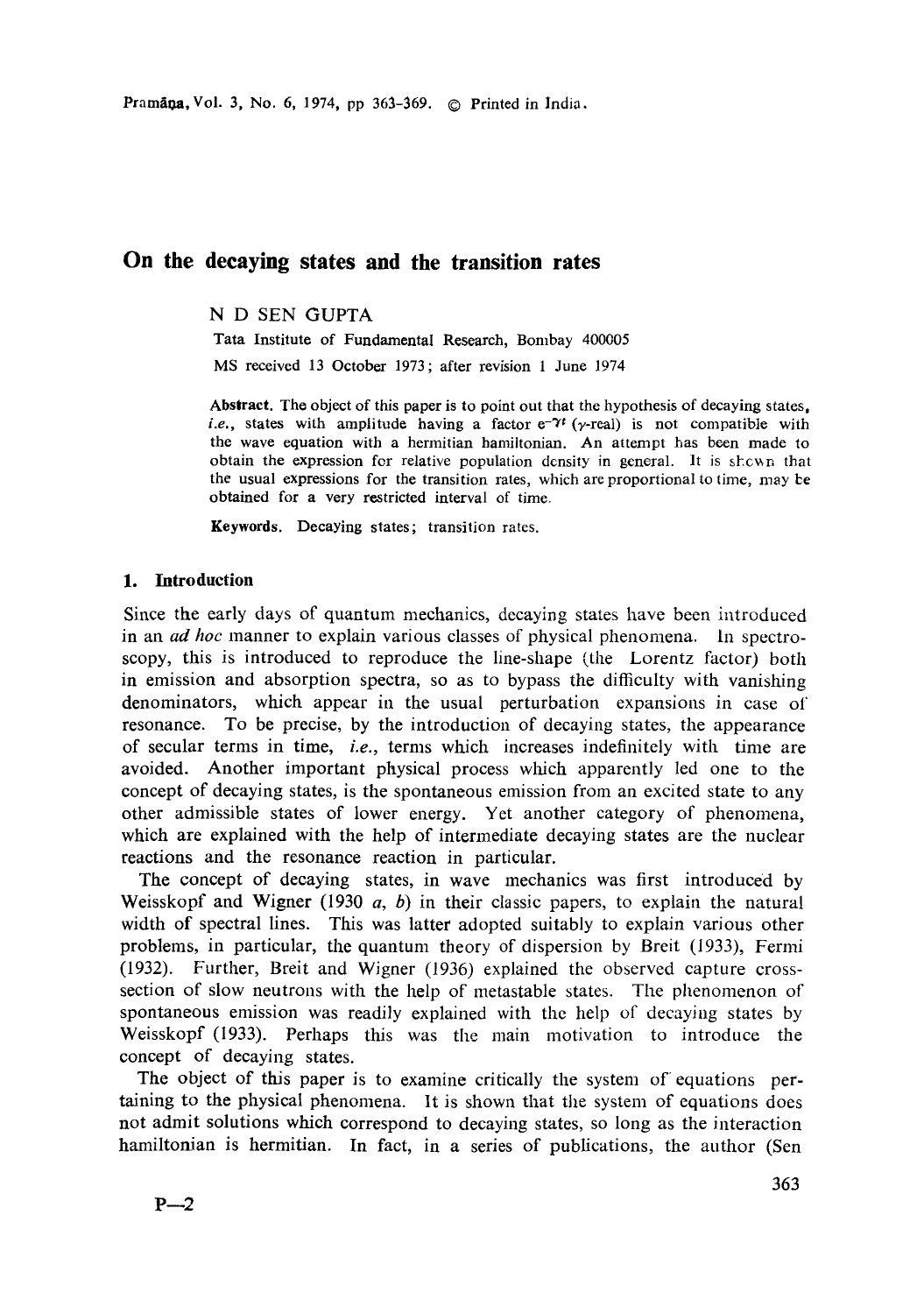Pramana, Vol. 3, No. 6, 1974, pp 363-369. © Printed in India.

# **On the decaying states and the transition rates**

# N D SEN GUPTA

Tata Institute of Fundamental Research, Bombay 400005 MS received 13 October 1973; after revision 1 June 1974

**Abstract.** The object of this **paper is** to point out that the hypothesis of decaying states, *i.e.*, states with amplitude having a factor  $e^{-\gamma t}$  ( $\gamma$ -real) is not compatible with the wave equation with a hermitian hamiltonian. An attempt has been made to obtain the expression for relative population density in general. It is shown that the usual expressions for the transition rates, which are proportional to time, may be obtained for a very restricted interval of time.

**Keywords. Decaying states;** transition rates.

## **1. Introduction**

Since the early days of quantum mechanics, decaying states have been introduced in an *ad hoc* manner to explain various classes of physical phenomena. In spectroscopy, this is introduced to reproduce the line-shape (the Lorentz factor) both in emission and absorption spectra, so as to bypass the difficulty with vanishing denominators, which appear in the usual perturbation expansions in case of resonance. To be precise, by the introduction of decaying states, the appearance of secular terms in time, *i.e.,* terms which increases indefinitely with time are avoided. Another important physical process which apparently led one to the concept of decaying states, is the spontaneous emission from an excited state to any other admissible states of lower energy. Yet another category of phenomena, which are explained with the help of intermediate decaying states are the nuclear reactions and the resonance reaction in particular.

The concept of decaying states, in wave mechanics was first introduced by Weisskopf and Wigner (1930  $a, b$ ) in their classic papers, to explain the natural width of spectral lines. This was latter adopted suitably to explain various other problems, in particular, the quantum theory of dispersion by Breit (1933), Fermi (1932). Further, Breit and Wigner (1936) explained the observed capture crosssection of slow neutrons with the help of metastable states. The phenomenon of spontaneous emission was readily explained with the help of decaying states by Weisskopf (1933). Perhaps this was the main motivation to introduce the concept of decaying states.

The object of this paper is to examine critically the system of equations pertaining to the physical phenomena. It is shown that the system of equations does not admit solutions which correspond to decaying states, so long as the interaction hamiltonian is hermitian. In fact, in a series of publications, the author (Sen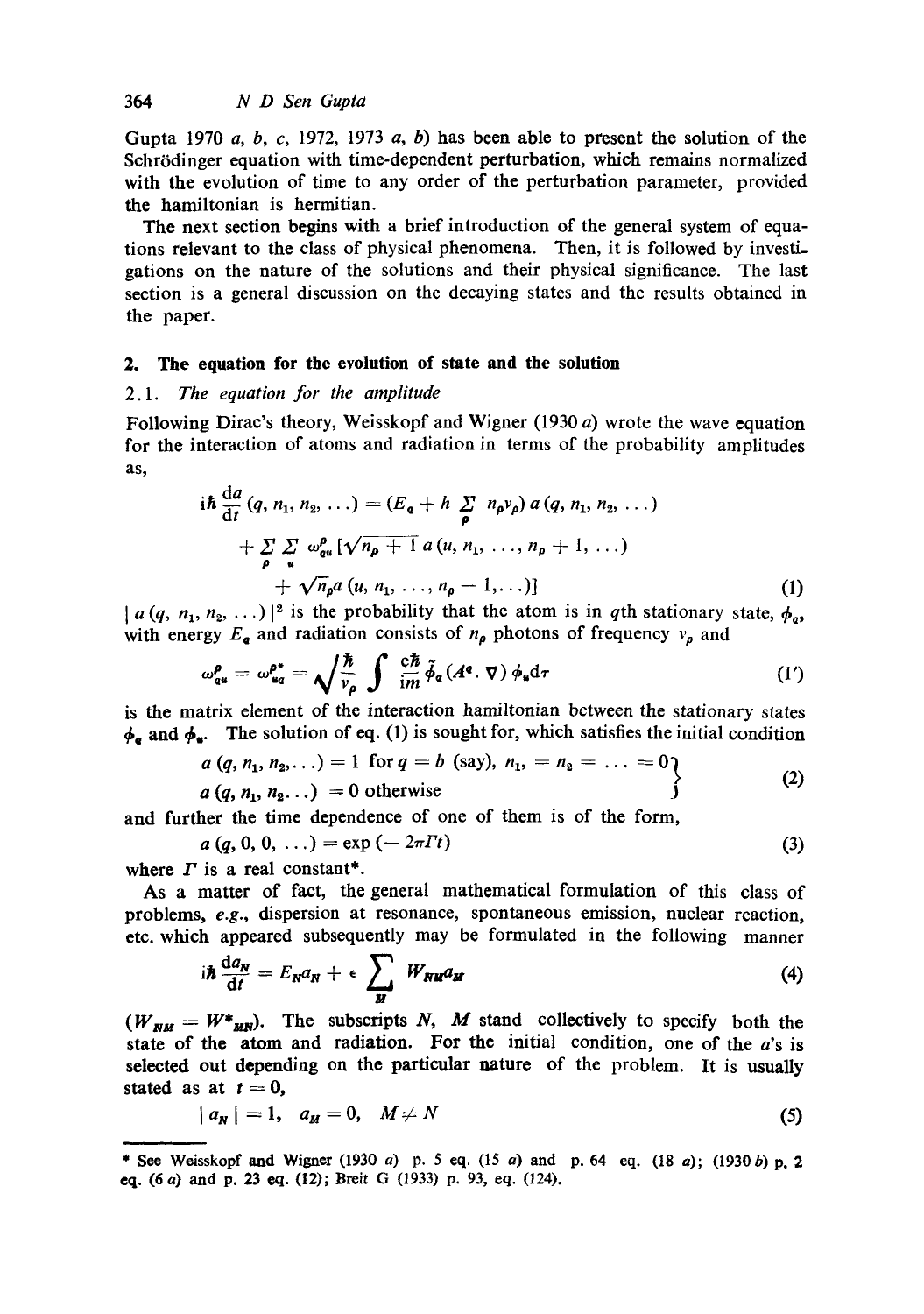Gupta 1970 a, b, c, 1972, 1973 a, b) has been able to present the solution of the Schrödinger equation with time-dependent perturbation, which remains normalized with the evolution of time to any order of the perturbation parameter, provided the hamiltonian is hermitian.

The next section begins with a brief introduction of the general system of equations relevant to the class of physical phenomena. Then, it is followed by investigations on the nature of the solutions and their physical significance. The last section is a general discussion on the decaying states and the results obtained in the paper.

#### **2. The equation for the evolution of state and the solution**

# *2.1. The equation for the amplitude*

Following Dirac's theory, Weisskopf and Wigner (1930 a) wrote the wave equation for the interaction of atoms and radiation in terms of the probability amplitudes as,

$$
i\hbar \frac{da}{dt} (q, n_1, n_2, \ldots) = (E_{\mathbf{q}} + h \sum_{\rho} n_{\rho} v_{\rho}) a (q, n_1, n_2, \ldots) + \sum_{\rho} \sum_{u} \omega_{\mathbf{q}u}^{\rho} [\sqrt{n_{\rho} + 1} a (u, n_1, \ldots, n_{\rho} + 1, \ldots) + \sqrt{n_{\rho}} a (u, n_1, \ldots, n_{\rho} - 1, \ldots)]
$$
\n(1)

 $[a (q, n_1, n_2, \ldots)]^2$  is the probability that the atom is in qth stationary state,  $\phi_{\alpha}$ , with energy  $E_{\mathbf{g}}$  and radiation consists of  $n_{\rho}$  photons of frequency  $v_{\rho}$  and

$$
\omega_{\mathbf{q}\mathbf{u}}^{\rho} = \omega_{\mathbf{u}\mathbf{q}}^{\rho^*} = \sqrt{\frac{\hbar}{v_{\rho}}} \int \frac{\mathrm{e}\hbar}{\mathrm{i}m} \tilde{\phi}_{\mathbf{q}}(A^{\mathbf{q}}.\,\nabla) \phi_{\mathbf{u}} \mathrm{d}\tau \tag{1'}
$$

is the matrix element of the interaction hamiltonian between the stationary states  $\phi_{\sigma}$  and  $\phi_{\bullet}$ . The solution of eq. (1) is sought for, which satisfies the initial condition

$$
a (q, n_1, n_2,...) = 1 \text{ for } q = b \text{ (say)}, n_1, = n_2 = ... = 0a (q, n_1, n_2...) = 0 \text{ otherwise}
$$
\n(2)

**and** further the time dependence of one of them is of the form,

$$
a(q, 0, 0, \ldots) = \exp(-2\pi T t) \tag{3}
$$

where  $\Gamma$  is a real constant\*.

As a matter of fact, the general mathematical formulation of this class of problems, *e.g.,* dispersion at resonance, spontaneous emission, nuclear reaction, etc. which appeared subsequently may be formulated in the following manner

$$
i\hbar \frac{da_N}{dt} = E_N a_N + \epsilon \sum_M W_{NM} a_M \tag{4}
$$

 $(W_{NM} = W^*_{MN})$ . The subscripts N, M stand collectively to specify both the **state** of the atom and radiation. For the initial condition, one of the a's is selected out depending on the particular nature of the problem. It is usually stated as at  $t = 0$ ,

$$
|a_N| = 1, \quad a_M = 0, \quad M \neq N \tag{5}
$$

**<sup>\*</sup>** See Weisskopf and Wigner (1930 a) p. 5 eq. (15 a) and p. 64 eq. (18 a); (1930 b) p. 2 eq. (6 a) and p. 23 eq. (12); Breit G (1933) p. 93, eq. (124).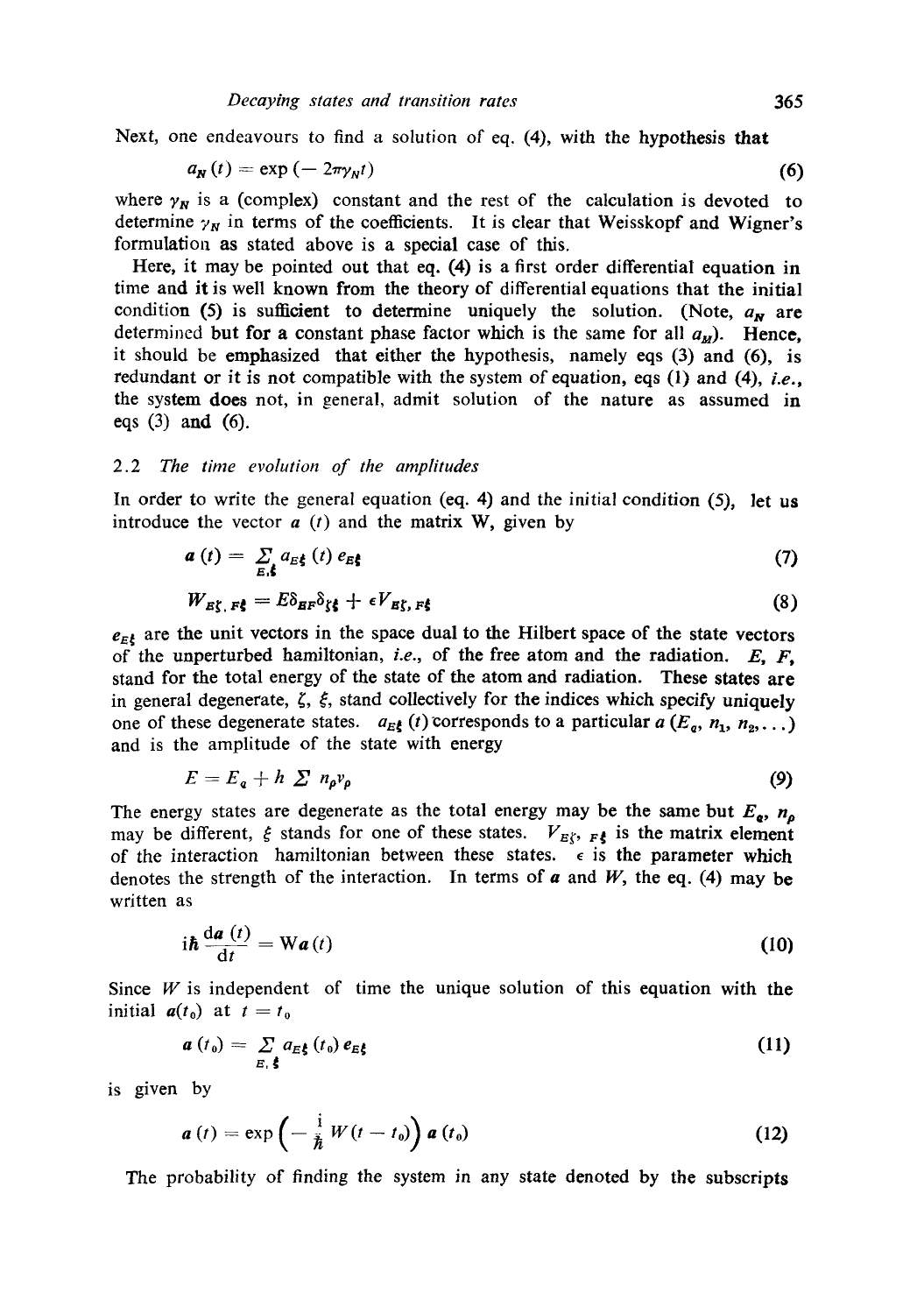Next, one endeavours to find a solution of eq. (4), with the hypothesis that

$$
a_N(t) = \exp\left(-2\pi \gamma_N t\right) \tag{6}
$$

where  $\gamma_N$  is a (complex) constant and the rest of the calculation is devoted to determine  $\gamma_N$  in terms of the coefficients. It is clear that Weisskopf and Wigner's formulation as stated above is a special case of this.

Here, it may be pointed out that eq. (4) is a first order differential equation in time and it is well known from the theory of differential equations that the initial condition (5) is sufficient to determine uniquely the solution. (Note,  $a_N$  are determined but for a constant phase factor which is the same for all  $a_M$ ). Hence, it should be emphasized that either the hypothesis, namely eqs (3) and (6), is redundant or it is not compatible with the system of equation, eqs (1) and (4), *i.e.,*  the system does not, in general, admit solution of the nature as assumed in eqs (3) and (6).

#### 2.2 *The time evolution of the amplitudes*

In order to write the general equation (eq. 4) and the initial condition  $(5)$ , let us introduce the vector  $a(t)$  and the matrix W, given by

$$
a(t) = \sum_{\mathbf{E} \neq \mathbf{B}} a_{E\mathbf{S}}(t) e_{E\mathbf{S}}
$$
 (7)

$$
W_{E\zeta, F\zeta} = E\delta_{EF}\delta_{\zeta\xi} + \epsilon V_{E\zeta, F\zeta}
$$
 (8)

 $e_{E\zeta}$  are the unit vectors in the space dual to the Hilbert space of the state vectors of the unperturbed hamiltonian, *i.e.,* of the free atom and the radiation. E, F, stand for the total energy of the state of the atom and radiation. These states are in general degenerate,  $\zeta$ ,  $\xi$ , stand collectively for the indices which specify uniquely one of these degenerate states.  $a_{E_1^k}(t)$  corresponds to a particular  $a(E_0, n_1, n_2, \ldots)$ and is the amplitude of the state with energy

$$
E = E_{\mathfrak{q}} + h \sum n_{\rho} v_{\rho} \tag{9}
$$

The energy states are degenerate as the total energy may be the same but  $E_{\rm q}$ ,  $n_{\rm p}$ may be different,  $\xi$  stands for one of these states.  $V_{E\langle v, F \xi \rangle}$  is the matrix element of the interaction hamiltonian between these states.  $\epsilon$  is the parameter which denotes the strength of the interaction. In terms of  $\boldsymbol{a}$  and  $\boldsymbol{W}$ , the eq. (4) may be written as

$$
i\hbar \frac{da(t)}{dt} = W a(t)
$$
 (10)

Since  $W$  is independent of time the unique solution of this equation with the initial  $a(t_0)$  at  $t=t_0$ 

$$
a(t_0) = \sum_{E, \xi} a_{E\xi} (t_0) e_{E\xi}
$$
 (11)

is given by

$$
\boldsymbol{a}(t) = \exp\left(-\frac{\mathrm{i}}{\hbar}W(t-t_0)\right)\boldsymbol{a}(t_0)
$$
\n(12)

The probability of finding the system in any state denoted by the subscripts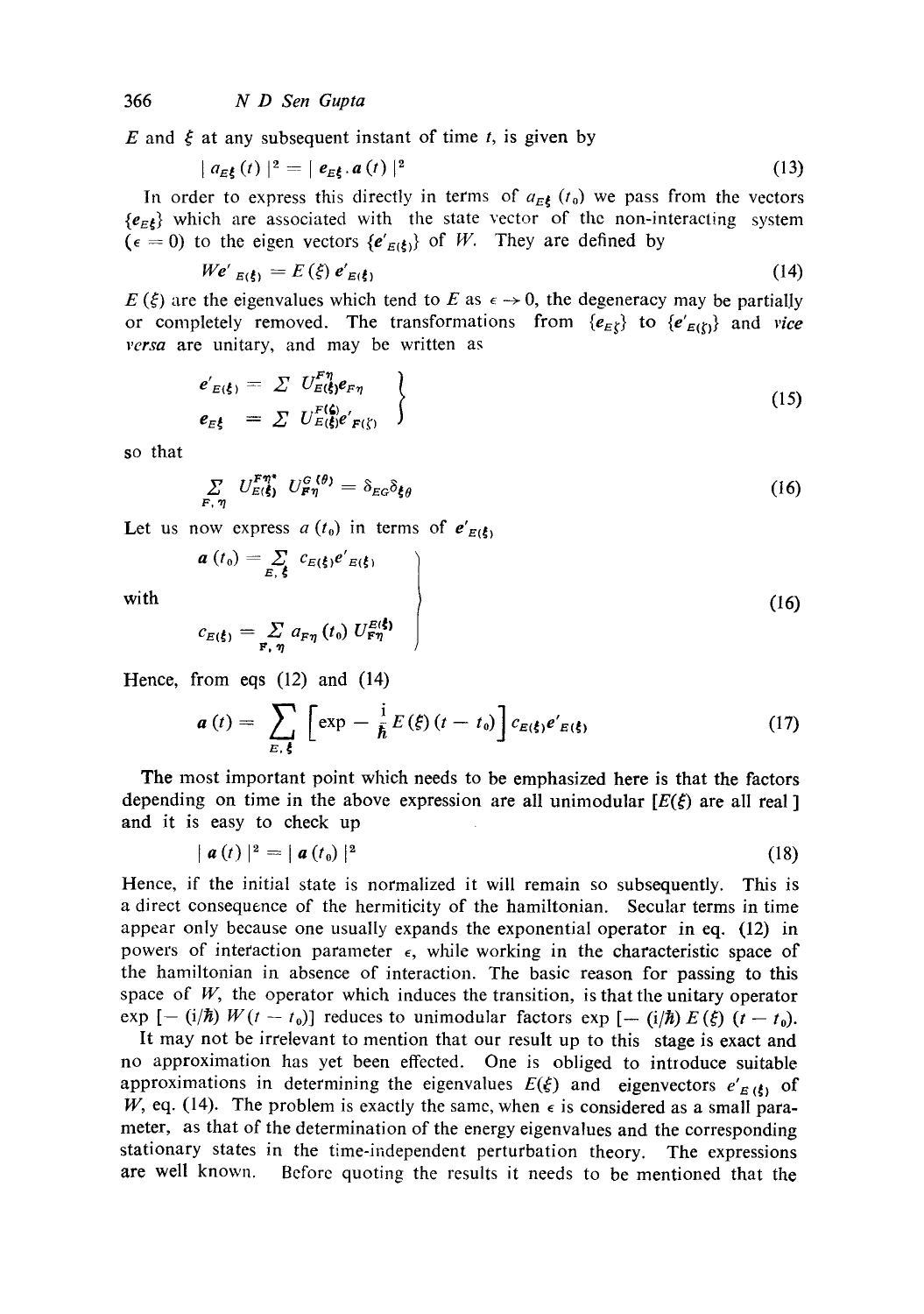E and  $\xi$  at any subsequent instant of time t, is given by

$$
|a_{E\mathbf{\xi}}(t)|^2 = |e_{E\mathbf{\xi}}.a(t)|^2 \qquad (13)
$$

In order to express this directly in terms of  $a_{E_5}(t_0)$  we pass from the vectors  ${e_{E}}$  which are associated with the state vector of the non-interacting system  $(\epsilon = 0)$  to the eigen vectors  $\{e'_{E(\xi)}\}$  of W. They are defined by

$$
W e'_{E(\xi)} = E(\xi) e'_{E(\xi)} \tag{14}
$$

 $E(\xi)$  are the eigenvalues which tend to E as  $\epsilon \to 0$ , the degeneracy may be partially or completely removed. The transformations from  ${e_{E}}$  to  ${e'_{E}}_{E}}$  and *vice versa* are unitary, and may be written as

$$
e'_{E(\xi)} = \sum U_{E(\xi)}^{F\eta} e_{F\eta}
$$
  
\n
$$
e_{E\xi} = \sum U_{E(\xi)}^{F(\xi)} e'_{F(\xi)}
$$
\n(15)

so that

$$
\sum_{F,\eta} U_{E(\xi)}^{F\eta^*} U_{F\eta}^{G(\theta)} = \delta_{E_G} \delta_{\xi\theta} \tag{16}
$$

Let us now express  $a(t_0)$  in terms of  $e'_{E(\xi)}$ 

$$
a(t_0) = \sum_{E,\xi} c_{E(\xi)} e'_{E(\xi)}
$$
  
with  

$$
c_{E(\xi)} = \sum a_{En} (t_0) U_{En}^{E(\xi)}
$$
 (16)

$$
c_{E(\xi)} = \sum_{\mathbf{F}, \eta} a_{F\eta} (t_0) U_{F\eta}^{E(\xi)}
$$

Hence, from eqs (12) and (14)

$$
\boldsymbol{a}(t) = \sum_{E,\,\boldsymbol{\xi}} \left[ \exp -\frac{\mathrm{i}}{\hbar} E(\boldsymbol{\xi}) \left( t - t_0 \right) \right] c_{E(\boldsymbol{\xi})} e'_{E(\boldsymbol{\xi})} \tag{17}
$$

The most important point which needs to be emphasized here is that the factors depending on time in the above expression are all unimodular  $[E(\xi)]$  are all real ] and it is easy to check up

$$
|\boldsymbol{a}(t)|^2 = |\boldsymbol{a}(t_0)|^2 \tag{18}
$$

Hence, if the initial state is normalized it will remain so subsequently. This is a direct consequence of the hermiticity of the hamiltonian. Secular terms in time appear only because one usually expands the exponential operator in eq. (12) in powers of interaction parameter  $\epsilon$ , while working in the characteristic space of the hamiltonian in absence of interaction. The basic reason for passing to this space of  $W$ , the operator which induces the transition, is that the unitary operator exp  $[-(i/\hbar) W(t - t_0)]$  reduces to unimodular factors exp  $[-(i/\hbar) E(\xi) (t - t_0)]$ .

It may not be irrelevant to mention that our result up to this stage is exact and no approximation has yet been effected. One is obliged to introduce suitable approximations in determining the eigenvalues  $E(\xi)$  and eigenvectors  $e'_{E(\xi)}$  of W, eq. (14). The problem is exactly the same, when  $\epsilon$  is considered as a small parameter, as that of the determination of the energy eigenvalues and the corresponding stationary states in the time-independent perturbation theory. The expressions are well known. Before quoting the results it needs to be mentioned that the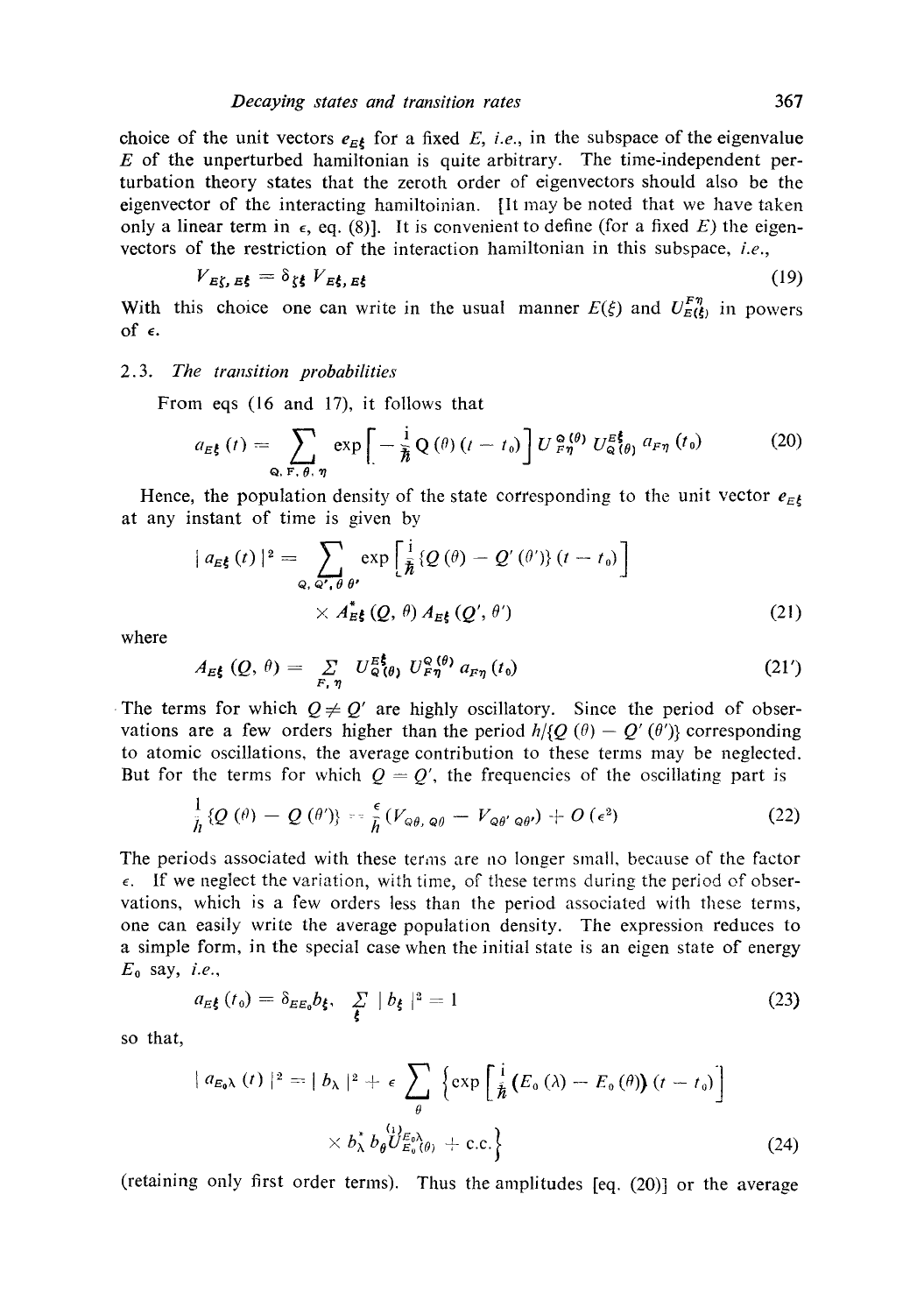choice of the unit vectors  $e_{E\ell}$  for a fixed *E*, *i.e.*, in the subspace of the eigenvalue  $E$  of the unperturbed hamiltonian is quite arbitrary. The time-independent perturbation theory states that the zeroth order of eigenvectors should also be the eigenvector of the interacting hamiltoinian. [It may be noted that we have taken only a linear term in  $\epsilon$ , eq. (8)]. It is convenient to define (for a fixed E) the eigenvectors of the restriction of the interaction hamiltonian in this subspace, *i.e.,* 

$$
V_{E\zeta,E\xi} = \delta_{\zeta\xi} V_{E\xi,E\xi}
$$
 (19)

With this choice one can write in the usual manner  $E(\xi)$  and  $U_{E(\xi)}^{F\eta}$  in powers of  $\epsilon$ .

#### *2.3. The transition probabilities*

From eqs (16 and 17), it follows that

$$
a_{E\bar{\xi}}(t) = \sum_{\mathbf{Q}, \ \mathbf{F}, \ \theta, \ \eta} \exp\bigg[-\frac{\mathrm{i}}{\hbar} \mathbf{Q}\left(\theta\right)(t-t_0)\bigg] U_{F\eta}^{\mathbf{Q}\left(\theta\right)} U_{\mathbf{Q}\left(\theta\right)}^{\mathbf{E}\bar{\xi}} a_{F\eta}\left(t_0\right) \tag{20}
$$

Hence, the population density of the state corresponding to the unit vector  $e_{E\xi}$ at any instant of time is given by

$$
| a_{E\xi}(t) |^{2} = \sum_{Q, Q', \theta \theta'} \exp \left[ \frac{i}{\hbar} \{ Q(\theta) - Q'(\theta') \} (t - t_{0}) \right] \times A_{E\xi}^{*}(Q, \theta) A_{E\xi}(Q', \theta')
$$
\n(21)

where

$$
A_{E\mathbf{t}}(Q,\theta) = \sum_{F,\eta} U_{Q(\theta)}^{E\mathbf{t}} U_{F\eta}^{Q(\theta)} a_{F\eta}(t_0)
$$
 (21')

The terms for which  $Q \neq Q'$  are highly oscillatory. Since the period of observations are a few orders higher than the period  $h/\{Q(\theta)-Q'(\theta')\}$  corresponding to atomic oscillations, the average contribution to these terms may be neglected. But for the terms for which  $Q = Q'$ , the frequencies of the oscillating part is

$$
\frac{1}{\hbar}\left\{Q\left(\theta\right)-Q\left(\theta'\right)\right\}=\frac{\epsilon}{\hbar}\left(V_{\varphi\theta,\,\varphi\theta}-V_{\varphi\theta'\,\varphi\theta'}\right)+O\left(\epsilon^2\right) \tag{22}
$$

The periods associated with these terms are no longer small, because of the factor  $\epsilon$ . If we neglect the variation, with time, of these terms during the period of observations, which is a few orders less than the period associated with these terms, one can easily write the average population density. The expression reduces to a simple form, in the special case when the initial state is an eigen state of energy  $E_0$  say, *i.e.*,

$$
a_{E\mathbf{\xi}}(t_0) = \delta_{E\mathbf{\xi}_0} b_{\mathbf{\xi}}, \quad \sum_{\mathbf{\xi}} |b_{\mathbf{\xi}}|^2 = 1 \tag{23}
$$

so that,

$$
\begin{aligned}\n\mid a_{E_0\lambda}(t)\mid^2 &= \mid b_{\lambda}\mid^2 + \epsilon \sum_{\theta} \left\{ \exp\left[\frac{i}{\hbar}\left(E_0\left(\lambda\right) - E_0\left(\theta\right)\right)(t - t_0)\right] \right. \\
&\times b_{\lambda}^* b_{\theta} \left\{ U_{E_0}^{(E_0)}(\theta) + \text{c.c.} \right\}\n\end{aligned}\n\tag{24}
$$

(retaining only first order terms). Thus the amplitudes [eq. (20)] or the average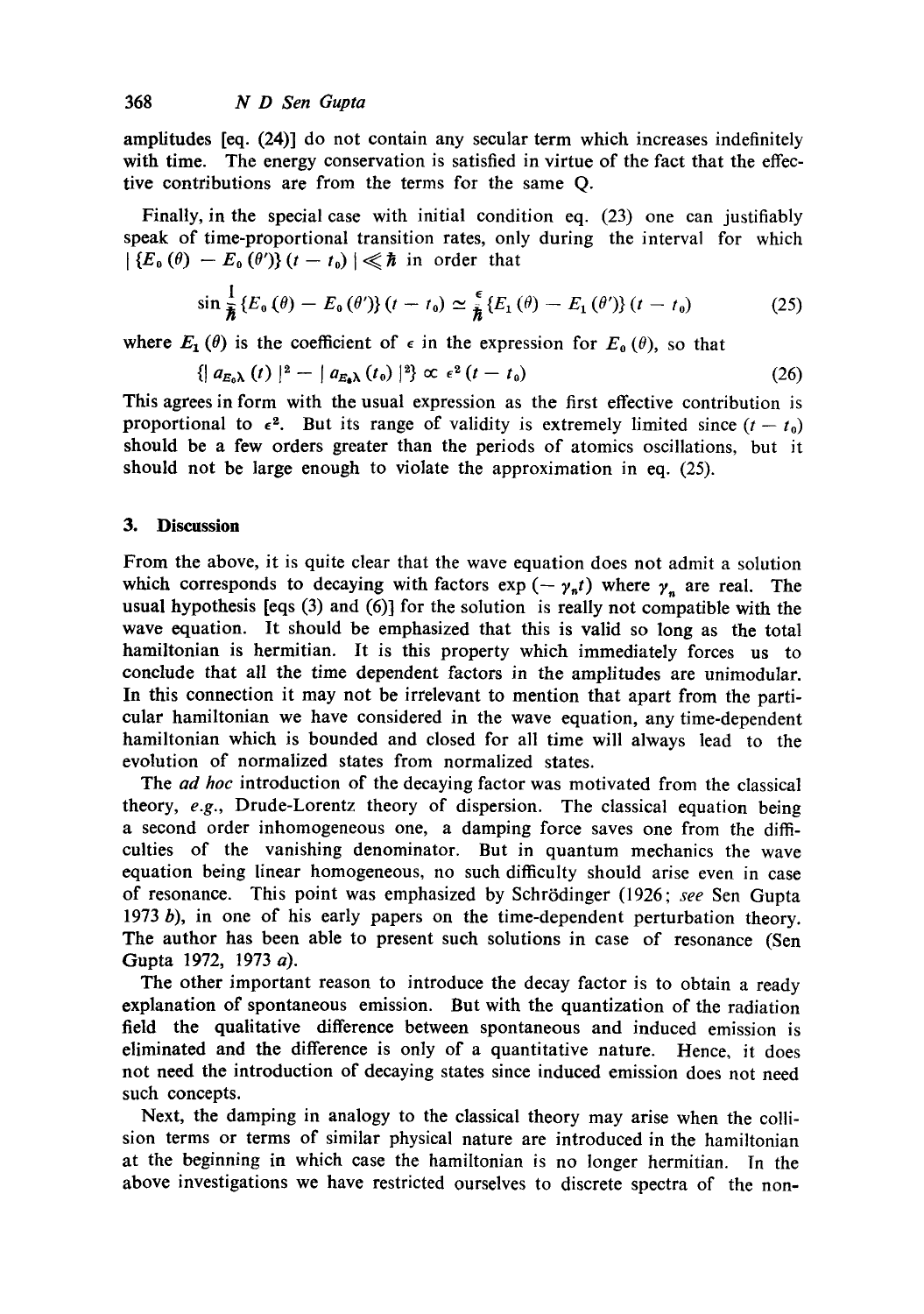amplitudes [eq. (24)] do not contain any secular term which increases indefinitely with time. The energy conservation is satisfied in virtue of the fact that the effective contributions are from the terms for the same Q.

Finally, in the special case with initial condition eq. (23) one can justifiably speak of time-proportional transition rates, only during the interval for which  $\left|\left\{E_{0}(\theta)-E_{0}(\theta')\right\}(t-t_{0})\right|\ll\hbar$  in order that

$$
\sin\frac{1}{\hbar}\left\{E_0\left(\theta\right)-E_0\left(\theta'\right)\right\}\left(t-t_0\right)\simeq\frac{\epsilon}{\hbar}\left\{E_1\left(\theta\right)-E_1\left(\theta'\right)\right\}\left(t-t_0\right)\tag{25}
$$

where  $E_1(\theta)$  is the coefficient of  $\epsilon$  in the expression for  $E_0(\theta)$ , so that

$$
\left\{ \left| \left| a_{E_0 \lambda} \left( t \right) \right| ^2 - \left| \left| a_{E_0 \lambda} \left( t_0 \right) \right| ^2 \right\} \propto \epsilon^2 \left( t - t_0 \right) \right. \tag{26}
$$

This agrees in form with the usual expression as the first effective contribution is proportional to  $\epsilon^2$ . But its range of validity is extremely limited since  $(t - t_0)$ should be a few orders greater than the periods of atomics oscillations, but it should not be large enough to violate the approximation in eq. (25).

#### **3. Discussion**

From the above, it is quite clear that the wave equation does not admit a solution which corresponds to decaying with factors  $exp(-\gamma_n t)$  where  $\gamma_n$  are real. The usual hypothesis [eqs (3) and (6)] for the solution is really not compatible with the wave equation. It should be emphasized that this is valid so long as the total hamiltonian is hermitian. It is this property which immediately forces us to conclude that all the time dependent factors in the amplitudes are unimodular. In this connection it may not be irrelevant to mention that apart from the particular hamiltonian we have considered in the wave equation, any time-dependent hamiltonian which is bounded and closed for all time will always lead to the evolution of normalized states from normalized states.

The *ad hoc* introduction of the decaying factor was motivated from the classical theory, *e.g.,* Drude-Lorentz theory of dispersion. The classical equation being a second order inhomogeneous one, a damping force saves one from the difficulties of the vanishing denominator. But in quantum mechanics the wave equation being linear homogeneous, no such difficulty should arise even in case of resonance. This point was emphasized by Schrödinger (1926; see Sen Gupta 1973 b), in one of his early papers on the time-dependent perturbation theory. The author has been able to present such solutions in case of resonance (Sen Gupta 1972, 1973 a).

The other important reason to introduce the decay factor is to obtain a ready explanation of spontaneous emission. But with the quantization of the radiation field the qualitative difference between spontaneous and induced emission is eliminated and the difference is only of a quantitative nature. Hence, it does not need the introduction of decaying states since induced emission does not need such concepts.

Next, the damping in analogy to the classical theory may arise when the collision terms or terms of similar physical nature are introduced in the hamiltonian at the beginning in which case the hamiltonian is no longer hermitian. In the above investigations we have restricted ourselves to discrete spectra of the non